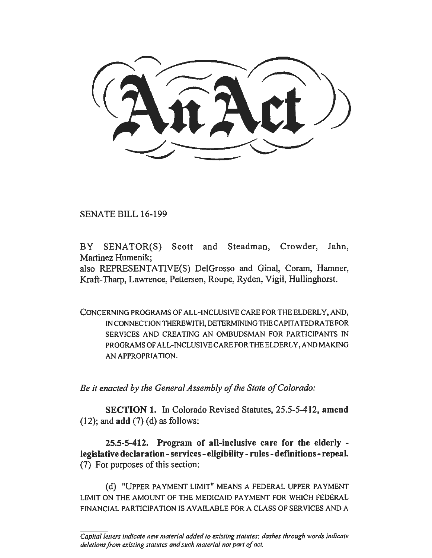SENATE BILL 16-199

BY SENATOR(S) Scott and Steadman, Crowder, Jahn, Martinez Humenik;

also REPRESENTATIVE(S) DelGrosso and Ginal, Coram, Hamner, Kraft-Tharp, Lawrence, Pettersen, Roupe, Ryden, Vigil, Hullinghorst.

CONCERNING PROGRAMS OF ALL-INCLUSIVE CARE FOR THE ELDERLY, AND, IN CONNECTION THEREWITH, DETERMINING THE CAPITA TED RA TE FOR SERVICES AND CREATING AN OMBUDSMAN FOR PARTICIPANTS IN PROGRAMS OF ALL-INCLUSIVE CARE FOR THE ELDERLY, AND MAKING AN APPROPRIATION.

*Be it enacted by the General Assembly of the State of Colorado:* 

SECTION 1. In Colorado Revised Statutes, 25.5-5-412, amend  $(12)$ ; and  $add(7)$   $(d)$  as follows:

25.5-5-412. Program of all-inclusive care for the elderly legislative declaration -services - eligibility-rules -definitions - repeal. (7) For purposes of this section:

(d) "UPPER PAYMENT LIMIT" MEANS A FEDERAL UPPER PAYMENT LIMIT ON THE AMOUNT OF THE MEDICAID PAYMENT FOR WHICH FEDERAL FINANCIAL PARTICIPATION IS AVAILABLE FORA CLASS OF SERVICES AND A

*Capital letters indicate new material added to existing statutes; dashes through words indicate deletions from existing statutes and such material not part of act.*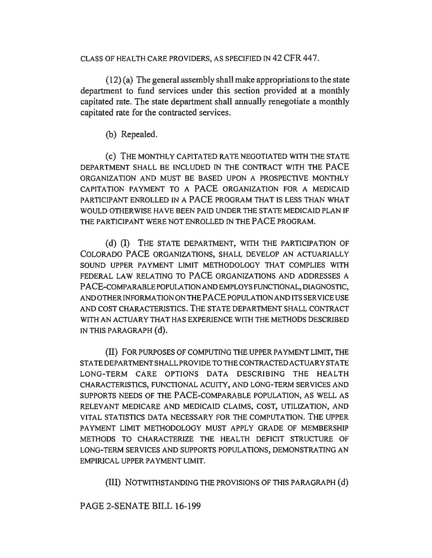CLASS OF HEALTH CARE PROVIDERS, AS SPECIFIED IN 42 CFR 44 7.

(12) (a) The general assembly shall make appropriations to the state department to fund services under this section provided at a monthly capitated rate. The state department shall annually renegotiate a monthly capitated rate for the contracted services.

(b) Repealed.

(c) THE MONTHLY CAPITATED RATE NEGOTIATED WITH THE STATE DEPARTMENT SHALL BE INCLUDED IN THE CONTRACT WITH THE PACE ORGANIZATION AND MUST BE BASED UPON A PROSPECTIVE MONTHLY CAPITATION PAYMENT TO A PACE ORGANIZATION FOR A MEDICAID PARTICIPANT ENROLLED IN A PACE PROGRAM THAT IS LESS THAN WHAT WOULD OTHERWISE HAVE BEEN PAID UNDER THE STATE MEDICAID PLAN IF THE PARTICIPANT WERE NOT ENROLLED IN THE PACE PROGRAM.

(d) {I) THE STATE DEPARTMENT, WITH THE PARTICIPATION OF COLORADO PACE ORGANIZATIONS, SHALL DEVELOP AN ACTUARIALLY SOUND UPPER PAYMENT LIMIT METHODOLOGY THAT COMPLIES WITH FEDERAL LAW RELATING TO PACE ORGANIZATIONS AND ADDRESSES A PACE-COMPARABLE POPULATION AND EMPLOYS FUNCTIONAL, DIAGNOSTIC, AND OTHER INFORMATION ON THE PACE POPULATION AND ITS SERVICE USE AND COST CHARACTERISTICS. THE STATE DEPARTMENT SHALL CONTRACT WITH AN ACTUARY THAT HAS EXPERIENCE WITH THE METHODS DESCRIBED IN THIS PARAGRAPH (d).

(II) FOR PURPOSES OF COMPUTING THE UPPER PAYMENT LIMIT, THE STATE DEPARTMENT SHALL PROVIDE TO THE CONTRACTED ACTUARY STATE LONG-TERM CARE OPTIONS DATA DESCRIBING THE HEALTH CHARACTERISTICS, FUNCTIONAL ACUITY, AND LONG-TERM SERVICES AND SUPPORTS NEEDS OF THE PACE-COMPARABLE POPULATION, AS WELL AS RELEVANT MEDICARE AND MEDICAID CLAIMS, COST, UTILIZATION, AND VITAL STATISTICS DATA NECESSARY FOR THE COMPUTATION. THE UPPER PAYMENT LIMIT METHODOLOGY MUST APPLY GRADE OF MEMBERSHIP METHODS TO CHARACTERIZE THE HEALTH DEFICIT STRUCTURE OF LONG-TERM SERVICES AND SUPPORTS POPULATIONS, DEMONSTRATING AN EMPIRICAL UPPER PAYMENT LIMIT.

{Ill) NOTWITHSTANDING THE PROVISIONS OF THIS PARAGRAPH (d)

PAGE 2-SENATE BILL 16-199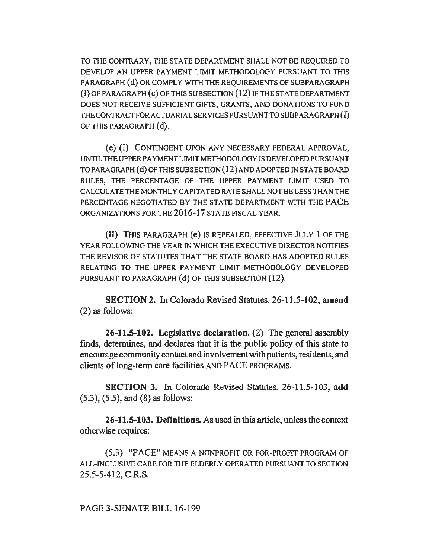TO THE CONTRARY, THE STATE DEPARTMENT SHALL NOT BE REQUIRED TO DEVELOP AN UPPER PAYMENT LIMIT METHODOLOGY PURSUANT TO THIS PARAGRAPH (d) OR COMPLY WITH THE REQUIREMENTS OF SUBPARAGRAPH (I) OF PARAGRAPH ( e) OF THIS SUBSECTION (12) IF THE STA TE DEPARTMENT DOES NOT RECEIVE SUFFICIENT GIFTS, GRANTS, AND DONATIONS TO FUND THE CONTRACT FOR ACTUARIAL SERVICES PURSUANT TO SUBPARAGRAPH (I) OF THIS PARAGRAPH (d).

( e) (I) CONTINGENT UPON ANY NECESSARY FEDERAL APPROVAL, UNTIL THE UPPER PAYMENT LIMIT METHODOLOGY IS DEVELOPED PURSUANT TO PARAGRAPH (d) OF THIS SUBSECTION (12) AND ADOPTED IN STATE BOARD RULES, THE PERCENTAGE OF THE UPPER PAYMENT LIMIT USED TO CALCULATE THE MONTHLY CAPITATED RATE SHALL NOT BE LESS THAN THE PERCENTAGE NEGOTIATED BY THE STATE DEPARTMENT WITH THE PACE ORGANIZATIONS FOR THE 2016-17 STATE FISCAL YEAR.

(II) THIS PARAGRAPH (e) IS REPEALED, EFFECTIVE JULY 1 OF THE YEAR FOLLOWING THE YEAR IN WHICH THE EXECUTIVE DIRECTOR NOTIFIES THE REVISOR OF STATUTES THAT THE STATE BOARD HAS ADOPTED RULES RELATING TO THE UPPER PAYMENT LIMIT METHODOLOGY DEVELOPED PURSUANT TO PARAGRAPH (d) OF THIS SUBSECTION (12).

SECTION 2. In Colorado Revised Statutes, 26-11.5-102, amend (2) as follows:

26-11.5-102. Legislative declaration. (2) The general assembly finds, determines, and declares that it is the public policy of this state to encourage community contact and involvement with patients, residents, and clients of long-term care facilities AND PACE PROGRAMS.

SECTION 3. In Colorado Revised Statutes, 26-11.5-103, add (5.3), (5.5), and (8) as follows:

26-11.5-103. Definitions. As used in this article, unless the context otherwise requires:

(5.3) "PACE" MEANS A NONPROFIT OR FOR-PROFIT PROGRAM OF ALL-INCLUSIVE CARE FOR THE ELDERLY OPERA TED PURSUANT TO SECTION 25.5-5-412, C.R.S.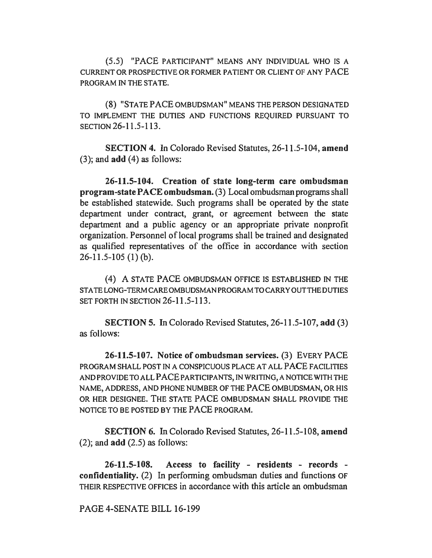(5.5) "PACE PARTICIPANT" MEANS ANY INDIVIDUAL WHO IS A CURRENT OR PROSPECTIVE OR FORMER PATIENT OR CLIENT OF ANY PACE PROGRAM IN THE STATE.

(8) "STA TE PACE OMBUDSMAN" MEANS THE PERSON DESIGNATED TO IMPLEMENT THE DUTIES AND FUNCTIONS REQUIRED PURSUANT TO SECTION 26-11.5-113.

SECTION 4. In Colorado Revised Statutes, 26-11.5-104, amend (3); and add (4) as follows:

26-11.5-104. Creation of state long-term care ombudsman program-state PACE ombudsman. (3) Local ombudsman programs shall be established statewide. Such programs shall be operated by the state department under contract, grant, or agreement between the state department and a public agency or an appropriate private nonprofit organization. Personnel of local programs shall be trained and designated as qualified representatives of the office in accordance with section 26-11.5-105 (1) (b).

(4) A STATE PACE OMBUDSMAN OFFICE IS ESTABLISHED IN THE STA TE LONG-TERM CARE OMBUDSMAN PROGRAM TO CARRYOUT THE DUTIES SET FORTH IN SECTION 26-11.5-113.

SECTION 5. In Colorado Revised Statutes, 26-11.5-107, add (3) as follows:

26-11.5-107. Notice of ombudsman services. (3) EVERY PACE PROGRAM SHALL POST IN A CONSPICUOUS PLACE AT ALL PACE FACILITIES AND PROVIDE TO ALL PACE PARTICIPANTS, IN WRITING, A NOTICE WITH THE NAME, ADDRESS, AND PHONE NUMBER OF THE PACE OMBUDSMAN, OR HIS OR HER DESIGNEE. THE STATE PACE OMBUDSMAN SHALL PROVIDE THE NOTICE TO BE POSTED BY THE PACE PROGRAM.

SECTION 6. In Colorado Revised Statutes, 26-11.5-108, amend  $(2)$ ; and  $add (2.5)$  as follows:

26-11.5-108. Access to facility - residents - records confidentiality. (2) In performing ombudsman duties and functions OF THEIR RESPECTIVE OFFICES in accordance with this article an ombudsman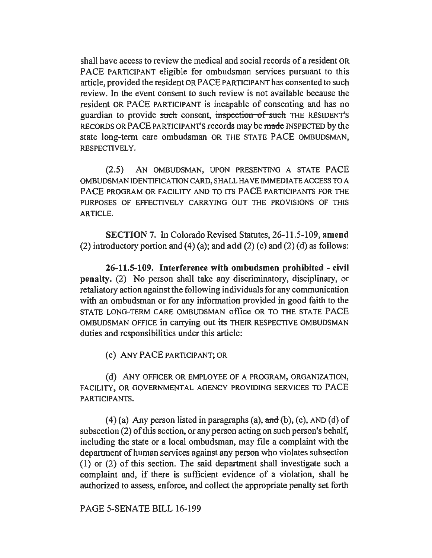shall have access to review the medical and social records of a resident OR PACE PARTICIPANT eligible for ombudsman services pursuant to this article, provided the resident OR PACE PARTICIPANT has consented to such review. In the event consent to such review is not available because the resident OR PACE PARTICIPANT is incapable of consenting and has no guardian to provide such consent, inspection of such THE RESIDENT'S RECORDS OR PACE PARTICIPANT'S records may be made INSPECTED by the state long-term care ombudsman OR THE STATE PACE OMBUDSMAN, RESPECTIVELY.

(2.5) AN OMBUDSMAN, UPON PRESENTING A STATE PACE OMBUDSMAN IDENTIFICATION CARD, SHALL HA VE IMMEDIATE ACCESS TO A PACE PROGRAM OR FACILITY AND TO ITS PACE PARTICIPANTS FOR THE PURPOSES OF EFFECTIVELY CARRYING OUT THE PROVISIONS OF THIS ARTICLE.

SECTION 7. In Colorado Revised Statutes, 26-11.5-109, amend (2) introductory portion and (4) (a); and  $add(2)$  (c) and (2) (d) as follows:

26-11.5-109. Interference with ombudsmen prohibited - civil penalty. (2) No person shall take any discriminatory, disciplinary, or retaliatory action against the following individuals for any communication with an ombudsman or for any information provided in good faith to the STATE LONG-TERM CARE OMBUDSMAN office OR TO THE STATE PACE OMBUDSMAN OFFICE in carrying out its THEIR RESPECTIVE OMBUDSMAN duties and responsibilities under this article:

(c) ANY PACE PARTICIPANT; OR

(d) ANY OFFICER OR EMPLOYEE OF A PROGRAM, ORGANIZATION, FACILITY, OR GOVERNMENTAL AGENCY PROVIDING SERVICES TO PACE PARTICIPANTS.

 $(4)$  (a) Any person listed in paragraphs (a), and (b), (c), AND (d) of subsection (2) of this section, or any person acting on such person's behalf, including the state or a local ombudsman, may file a complaint with the department of human services against any person who violates subsection (1) or (2) of this section. The said department shall investigate such a complaint and, if there is sufficient evidence of a violation, shall be authorized to assess, enforce, and collect the appropriate penalty set forth

PAGE 5-SENATE BILL 16-199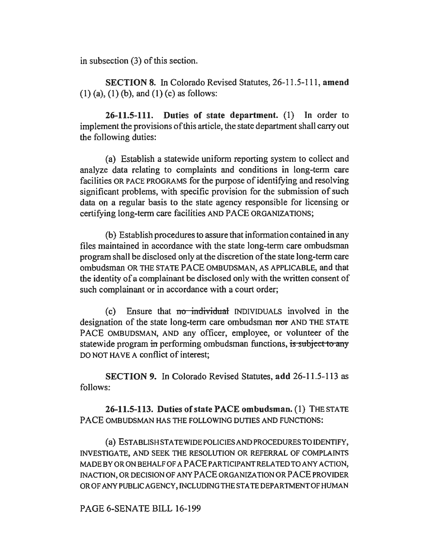in subsection (3) of this section.

SECTION 8. In Colorado Revised Statutes, 26-11.5-111, amend (I) (a), (1) (b), and (1) (c) as follows:

26-11.5-111. Duties of state department. (1) In order to implement the provisions of this article, the state department shall carry out the following duties:

(a) Establish a statewide uniform reporting system to collect and analyze data relating to complaints and conditions in long-term care facilities OR PACE PROGRAMS for the purpose of identifying and resolving significant problems, with specific provision for the submission of such data on a regular basis to the state agency responsible for licensing or certifying long-term care facilities AND PACE ORGANIZATIONS;

(b) Establish procedures to assure that information contained in any files maintained in accordance with the state long-term care ombudsman program shall be disclosed only at the discretion of the state long-term care ombudsman OR THE STATE PACE OMBUDSMAN, AS APPLICABLE, and that the identity of a complainant be disclosed only with the written consent of such complainant or in accordance with a court order;

 $(c)$  Ensure that no individual INDIVIDUALS involved in the designation of the state long-term care ombudsman nor AND THE STATE PACE OMBUDSMAN, AND any officer, employee, or volunteer of the statewide program in performing ombudsman functions, is subject to any DO NOT HAVE A conflict of interest;

SECTION 9. In Colorado Revised Statutes, add 26-11.5-113 as follows:

26-11.5-113. Duties of state PACE ombudsman. (1) THE STATE PACE OMBUDSMAN HAS THE FOLLOWING DUTIES AND FUNCTIONS:

(a) ESTABLISH STATE WIDE POLICIES AND PROCEDURES TO IDENTIFY, INVESTIGATE, AND SEEK THE RESOLUTION OR REFERRAL OF COMPLAINTS MADEBYORONBEHALFOF APACEPARTICIPANTRELATEDTOANY ACTION, INACTION, OR DECISION OF ANY PACE ORGANIZATION OR PACE PROVIDER OR OF ANY PUBLIC AGENCY, INCLUDING THE STA TE DEPARTMENT OF HUMAN

PAGE 6-SENATE BILL 16-199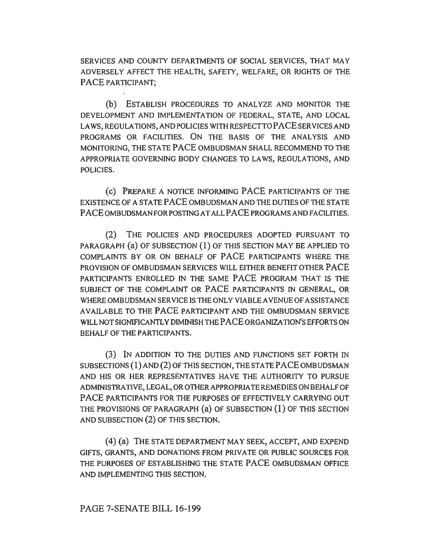SERVICES AND COUNTY DEPARTMENTS OF SOCIAL SERVICES, THAT MAY ADVERSELY AFFECT THE HEALTH, SAFETY, WELFARE, OR RIGHTS OF THE PACE PARTICIPANT;

(b) ESTABLISH PROCEDURES TO ANALYZE AND MONITOR THE DEVELOPMENT AND IMPLEMENTATION OF FEDERAL, STATE, AND LOCAL LAWS, REGULATIONS, AND POLICIES WITH RESPECT TO PACE SERVICES AND PROGRAMS OR FACILITIES. ON THE BASIS OF THE ANALYSIS AND MONITORING, THE STA TE PACE OMBUDSMAN SHALL RECOMMEND TO THE APPROPRIATE GOVERNING BODY CHANGES TO LAWS, REGULATIONS, AND POLICIES.

(c) PREPARE A NOTICE INFORMING PACE PARTICIPANTS OF THE EXISTENCE OF A STATE PACE OMBUDSMAN AND THE DUTIES OF THE STATE PACE OMBUDSMAN FOR POSTING AT ALL PACE PROGRAMS AND FACILITIES.

(2) THE POLICIES AND PROCEDURES ADOPTED PURSUANT TO PARAGRAPH (a) OF SUBSECTION (1) OF THIS SECTION MAY BE APPLIED TO COMPLAINTS BY OR ON BEHALF OF PACE PARTICIPANTS WHERE THE PROVISION OF OMBUDSMAN SERVICES WILL EITHER BENEFIT OTHER PACE PARTICIPANTS ENROLLED IN THE SAME PACE PROGRAM THAT IS THE SUBJECT OF THE COMPLAINT OR PACE PARTICIPANTS IN GENERAL, OR WHERE OMBUDSMAN SERVICE IS THE ONLY VIABLE AVENUE OF ASSISTANCE AVAILABLE TO THE PACE PARTICIPANT AND THE OMBUDSMAN SERVICE WILL NOT SIGNIFICANTLY DIMINISH THE PACE ORGANIZATION'S EFFORTS ON BEHALF OF THE PARTICIPANTS.

(3) IN ADDITION TO THE DUTIES AND FUNCTIONS SET FORTH IN SUBSECTIONS (1) AND (2) OF THIS SECTION, THE STA TE PACE OMBUDSMAN AND HIS OR HER REPRESENTATIVES HAVE THE AUTHORITY TO PURSUE ADMINISTRATIVE, LEGAL, OR OTHER APPROPRIATE REMEDIES ON BEHALF OF PACE PARTICIPANTS FOR THE PURPOSES OF EFFECTIVELY CARRYING OUT THE PROVISIONS OF PARAGRAPH (a) OF SUBSECTION (1) OF THIS SECTION AND SUBSECTION (2) OF THIS SECTION.

(4) (a) THE STATE DEPARTMENT MAY SEEK, ACCEPT, AND EXPEND GIFTS, GRANTS, AND DONATIONS FROM PRIVATE OR PUBLIC SOURCES FOR THE PURPOSES OF ESTABLISHING THE STATE PACE OMBUDSMAN OFFICE AND IMPLEMENTING THIS SECTION.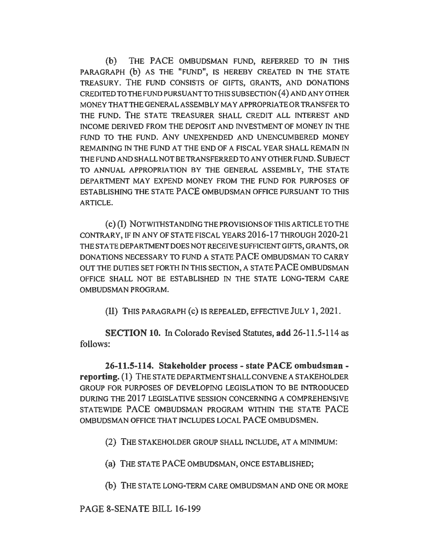(b) THE PACE OMBUDSMAN FUND, REFERRED TO IN THIS PARAGRAPH (b) AS THE "FUND", IS HEREBY CREATED IN THE STATE TREASURY. THE FUND CONSISTS OF GIFTS, GRANTS, AND DONATIONS CREDITED TO THE FUND PURSUANT TO THIS SUBSECTION ( 4) AND ANY OTHER MONEY THA TTHE GENERAL ASSEMBLY MAY APPROPRIATE OR TRANSFER TO THE FUND. THE STATE TREASURER SHALL CREDIT ALL INTEREST AND INCOME DERIVED FROM THE DEPOSIT AND INVESTMENT OF MONEY IN THE FUND TO THE FUND. ANY UNEXPENDED AND UNENCUMBERED MONEY REMAINING IN THE FUND AT THE END OF A FISCAL YEAR SHALL REMAIN IN THE FUND AND SHALL NOT BE TRANSFERRED TO ANY OTHER FUND. SUBJECT TO ANNUAL APPROPRIATION BY THE GENERAL ASSEMBLY, THE STATE DEPARTMENT MAY EXPEND MONEY FROM THE FUND FOR PURPOSES OF ESTABLISHING THE STATE PACE OMBUDSMAN OFFICE PURSUANT TO THIS ARTICLE.

( c) (I) NOTWITHSTANDING THE PROVISIONS OF THIS ARTICLE TO THE CONTRARY, IF IN ANY OF STATE FISCAL YEARS 2016-17 THROUGH 2020-21 THE STA TE DEPARTMENT DOES NOT RECEIVE SUFFICIENT GIFTS, GRANTS, OR DONATIONS NECESSARY TO FUND A STATE PACE OMBUDSMAN TO CARRY OUT THE DUTIES SET FORTH IN THIS SECTION, A STATE PACE OMBUDSMAN OFFICE SHALL NOT BE ESTABLISHED IN THE STATE LONG-TERM CARE OMBUDSMAN PROGRAM.

(II) THIS PARAGRAPH (c) IS REPEALED, EFFECTIVE JULY 1, 2021.

SECTION 10. In Colorado Revised Statutes, add 26-11.5-114 as follows:

26-11.5-114. Stakeholder process - state PACE ombudsman reporting. (1) THE STATE DEPARTMENT SHALL CONVENE A STAKEHOLDER GROUP FOR PURPOSES OF DEVELOPING LEGISLATION TO BE INTRODUCED DURING THE 2017 LEGISLATIVE SESSION CONCERNING A COMPREHENSIVE STATEWIDE PACE OMBUDSMAN PROGRAM WITHIN THE STATE PACE OMBUDSMAN OFFICE THAT INCLUDES LOCAL PACE OMBUDSMEN.

(2) THE STAKEHOLDER GROUP SHALL INCLUDE, AT A MINIMUM:

(a) THE STATE PACE OMBUDSMAN, ONCE ESTABLISHED;

(b) THE STA TE LONG-TERM CARE OMBUDSMAN AND ONE OR MORE

PAGE 8-SENATE BILL 16-199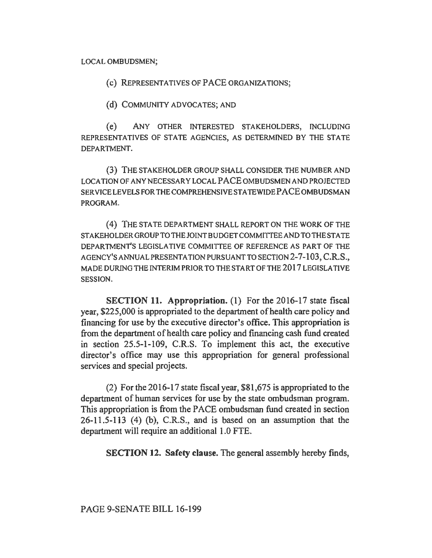LOCAL OMBUDSMEN;

( c) REPRESENTATIVES OF PACE ORGANIZATIONS;

(d) COMMUNITY ADVOCATES; AND

( e) ANY OTHER INTERESTED STAKEHOLDERS, INCLUDING REPRESENTATIVES OF STATE AGENCIES, AS DETERMINED BY THE STATE DEPARTMENT.

(3) THE STAKEHOLDER GROUP SHALL CONSIDER THE NUMBER AND LOCATION OF ANY NECESSARY LOCAL PACE OMBUDSMEN AND PROJECTED SER VICE LEVELS FOR THE COMPREHENSIVE STATE WIDE PACE OMBUDSMAN PROGRAM.

( 4) THE STATE DEPARTMENT SHALL REPORT ON THE WORK OF THE STAKEHOLDER GROUP TO THE JOINT BUDGET COMMITTEE AND TO THE STA TE DEPARTMENT'S LEGISLATIVE COMMITTEE OF REFERENCE AS PART OF THE AGENCY'S ANNUAL PRESENTATION PURSUANT TO SECTION 2-7-103, C.R.S., MADE DURING THE INTERIM PRIOR TO THE START OF THE 2017 LEGISLATIVE SESSION.

SECTION 11. Appropriation. (1) For the 2016-17 state fiscal year, \$225,000 is appropriated to the department of health care policy and financing for use by the executive director's office. This appropriation is from the department of health care policy and financing cash fund created in section 25.5-1-109, C.R.S. To implement this act, the executive director's office may use this appropriation for general professional services and special projects.

(2) For the 2016-17 state fiscal year, \$81,675 is appropriated to the department of human services for use by the state ombudsman program. This appropriation is from the PACE ombudsman fund created in section  $26-11.5-113$  (4) (b), C.R.S., and is based on an assumption that the department will require an additional 1.0 FTE.

SECTION 12. Safety clause. The general assembly hereby finds,